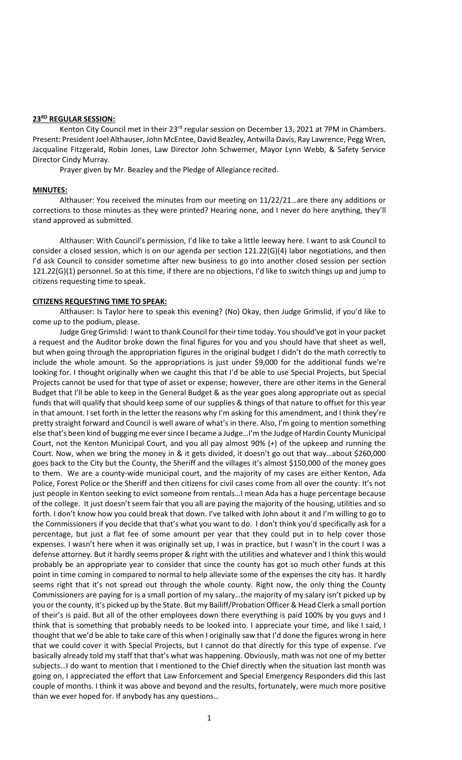#### **23RD REGULAR SESSION:**

Kenton City Council met in their 23<sup>rd</sup> regular session on December 13, 2021 at 7PM in Chambers. Present: President Joel Althauser, John McEntee, David Beazley, Antwilla Davis, Ray Lawrence, Pegg Wren, Jacqualine Fitzgerald, Robin Jones, Law Director John Schwemer, Mayor Lynn Webb, & Safety Service Director Cindy Murray.

Prayer given by Mr. Beazley and the Pledge of Allegiance recited.

#### **MINUTES:**

Althauser: You received the minutes from our meeting on 11/22/21…are there any additions or corrections to those minutes as they were printed? Hearing none, and I never do here anything, they'll stand approved as submitted.

Althauser: With Council's permission, I'd like to take a little leeway here. I want to ask Council to consider a closed session, which is on our agenda per section 121.22(G)(4) labor negotiations, and then I'd ask Council to consider sometime after new business to go into another closed session per section 121.22(G)(1) personnel. So at this time, if there are no objections, I'd like to switch things up and jump to citizens requesting time to speak.

#### **CITIZENS REQUESTING TIME TO SPEAK:**

Althauser: Is Taylor here to speak this evening? (No) Okay, then Judge Grimslid, if you'd like to come up to the podium, please.

Judge Greg Grimslid: I want to thank Council for their time today. You should've got in your packet a request and the Auditor broke down the final figures for you and you should have that sheet as well, but when going through the appropriation figures in the original budget I didn't do the math correctly to include the whole amount. So the appropriations is just under \$9,000 for the additional funds we're looking for. I thought originally when we caught this that I'd be able to use Special Projects, but Special Projects cannot be used for that type of asset or expense; however, there are other items in the General Budget that I'll be able to keep in the General Budget & as the year goes along appropriate out as special funds that will qualify that should keep some of our supplies & things of that nature to offset for this year in that amount. I set forth in the letter the reasons why I'm asking for this amendment, and I think they're pretty straight forward and Council is well aware of what's in there. Also, I'm going to mention something else that's been kind of bugging me ever since I became a Judge…I'm the Judge of Hardin County Municipal Court, not the Kenton Municipal Court, and you all pay almost 90% (+) of the upkeep and running the Court. Now, when we bring the money in & it gets divided, it doesn't go out that way…about \$260,000 goes back to the City but the County, the Sheriff and the villages it's almost \$150,000 of the money goes to them. We are a county-wide municipal court, and the majority of my cases are either Kenton, Ada Police, Forest Police or the Sheriff and then citizens for civil cases come from all over the county. It's not just people in Kenton seeking to evict someone from rentals…I mean Ada has a huge percentage because of the college. It just doesn't seem fair that you all are paying the majority of the housing, utilities and so forth. I don't know how you could break that down. I've talked with John about it and I'm willing to go to the Commissioners if you decide that that's what you want to do. I don't think you'd specifically ask for a percentage, but just a flat fee of some amount per year that they could put in to help cover those expenses. I wasn't here when it was originally set up, I was in practice, but I wasn't in the court I was a defense attorney. But it hardly seems proper & right with the utilities and whatever and I think this would probably be an appropriate year to consider that since the county has got so much other funds at this point in time coming in compared to normal to help alleviate some of the expenses the city has. It hardly seems right that it's not spread out through the whole county. Right now, the only thing the County Commissioners are paying for is a small portion of my salary…the majority of my salary isn't picked up by you or the county, it's picked up by the State. But my Bailiff/Probation Officer & Head Clerk a small portion of their's is paid. But all of the other employees down there everything is paid 100% by you guys and I think that is something that probably needs to be looked into. I appreciate your time, and like I said, I thought that we'd be able to take care of this when I originally saw that I'd done the figures wrong in here that we could cover it with Special Projects, but I cannot do that directly for this type of expense. I've basically already told my staff that that's what was happening. Obviously, math was not one of my better subjects…I do want to mention that I mentioned to the Chief directly when the situation last month was going on, I appreciated the effort that Law Enforcement and Special Emergency Responders did this last couple of months. I think it was above and beyond and the results, fortunately, were much more positive than we ever hoped for. If anybody has any questions…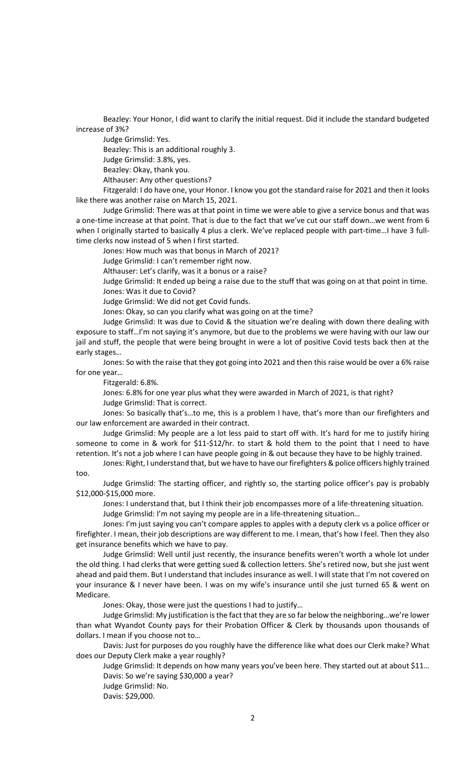Beazley: Your Honor, I did want to clarify the initial request. Did it include the standard budgeted increase of 3%?

Judge Grimslid: Yes.

Beazley: This is an additional roughly 3.

Judge Grimslid: 3.8%, yes.

Beazley: Okay, thank you.

Althauser: Any other questions?

Fitzgerald: I do have one, your Honor. I know you got the standard raise for 2021 and then it looks like there was another raise on March 15, 2021.

Judge Grimslid: There was at that point in time we were able to give a service bonus and that was a one-time increase at that point. That is due to the fact that we've cut our staff down…we went from 6 when I originally started to basically 4 plus a clerk. We've replaced people with part-time...I have 3 fulltime clerks now instead of 5 when I first started.

Jones: How much was that bonus in March of 2021?

Judge Grimslid: I can't remember right now.

Althauser: Let's clarify, was it a bonus or a raise?

Judge Grimslid: It ended up being a raise due to the stuff that was going on at that point in time. Jones: Was it due to Covid?

Judge Grimslid: We did not get Covid funds.

Jones: Okay, so can you clarify what was going on at the time?

Judge Grimslid: It was due to Covid & the situation we're dealing with down there dealing with exposure to staff…I'm not saying it's anymore, but due to the problems we were having with our law our jail and stuff, the people that were being brought in were a lot of positive Covid tests back then at the early stages…

Jones: So with the raise that they got going into 2021 and then this raise would be over a 6% raise for one year…

Fitzgerald: 6.8%.

Jones: 6.8% for one year plus what they were awarded in March of 2021, is that right? Judge Grimslid: That is correct.

Jones: So basically that's…to me, this is a problem I have, that's more than our firefighters and our law enforcement are awarded in their contract.

Judge Grimslid: My people are a lot less paid to start off with. It's hard for me to justify hiring someone to come in & work for \$11-\$12/hr. to start & hold them to the point that I need to have retention. It's not a job where I can have people going in & out because they have to be highly trained.

Jones: Right, I understand that, but we have to have our firefighters & police officers highly trained too.

Judge Grimslid: The starting officer, and rightly so, the starting police officer's pay is probably \$12,000-\$15,000 more.

Jones: I understand that, but I think their job encompasses more of a life-threatening situation. Judge Grimslid: I'm not saying my people are in a life-threatening situation…

Jones: I'm just saying you can't compare apples to apples with a deputy clerk vs a police officer or firefighter. I mean, their job descriptions are way different to me. I mean, that's how I feel. Then they also get insurance benefits which we have to pay.

Judge Grimslid: Well until just recently, the insurance benefits weren't worth a whole lot under the old thing. I had clerks that were getting sued & collection letters. She's retired now, but she just went ahead and paid them. But I understand that includes insurance as well. I will state that I'm not covered on your insurance & I never have been. I was on my wife's insurance until she just turned 65 & went on Medicare.

Jones: Okay, those were just the questions I had to justify…

Judge Grimslid: My justification is the fact that they are so far below the neighboring…we're lower than what Wyandot County pays for their Probation Officer & Clerk by thousands upon thousands of dollars. I mean if you choose not to…

Davis: Just for purposes do you roughly have the difference like what does our Clerk make? What does our Deputy Clerk make a year roughly?

Judge Grimslid: It depends on how many years you've been here. They started out at about \$11… Davis: So we're saying \$30,000 a year?

Judge Grimslid: No.

Davis: \$29,000.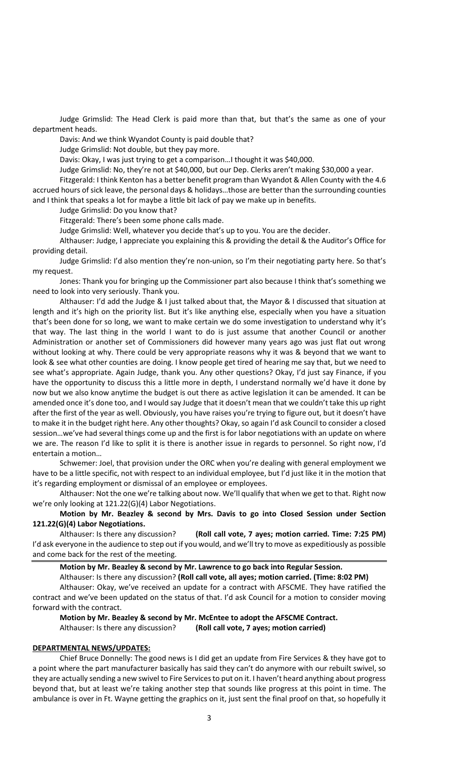Judge Grimslid: The Head Clerk is paid more than that, but that's the same as one of your department heads.

Davis: And we think Wyandot County is paid double that?

Judge Grimslid: Not double, but they pay more.

Davis: Okay, I was just trying to get a comparison…I thought it was \$40,000.

Judge Grimslid: No, they're not at \$40,000, but our Dep. Clerks aren't making \$30,000 a year.

Fitzgerald: I think Kenton has a better benefit program than Wyandot & Allen County with the 4.6 accrued hours of sick leave, the personal days & holidays…those are better than the surrounding counties and I think that speaks a lot for maybe a little bit lack of pay we make up in benefits.

Judge Grimslid: Do you know that?

Fitzgerald: There's been some phone calls made.

Judge Grimslid: Well, whatever you decide that's up to you. You are the decider.

Althauser: Judge, I appreciate you explaining this & providing the detail & the Auditor's Office for providing detail.

Judge Grimslid: I'd also mention they're non-union, so I'm their negotiating party here. So that's my request.

Jones: Thank you for bringing up the Commissioner part also because I think that's something we need to look into very seriously. Thank you.

Althauser: I'd add the Judge & I just talked about that, the Mayor & I discussed that situation at length and it's high on the priority list. But it's like anything else, especially when you have a situation that's been done for so long, we want to make certain we do some investigation to understand why it's that way. The last thing in the world I want to do is just assume that another Council or another Administration or another set of Commissioners did however many years ago was just flat out wrong without looking at why. There could be very appropriate reasons why it was & beyond that we want to look & see what other counties are doing. I know people get tired of hearing me say that, but we need to see what's appropriate. Again Judge, thank you. Any other questions? Okay, I'd just say Finance, if you have the opportunity to discuss this a little more in depth, I understand normally we'd have it done by now but we also know anytime the budget is out there as active legislation it can be amended. It can be amended once it's done too, and I would say Judge that it doesn't mean that we couldn't take this up right after the first of the year as well. Obviously, you have raises you're trying to figure out, but it doesn't have to make it in the budget right here. Any other thoughts? Okay, so again I'd ask Council to consider a closed session…we've had several things come up and the first is for labor negotiations with an update on where we are. The reason I'd like to split it is there is another issue in regards to personnel. So right now, I'd entertain a motion…

Schwemer: Joel, that provision under the ORC when you're dealing with general employment we have to be a little specific, not with respect to an individual employee, but I'd just like it in the motion that it's regarding employment or dismissal of an employee or employees.

Althauser: Not the one we're talking about now. We'll qualify that when we get to that. Right now we're only looking at 121.22(G)(4) Labor Negotiations.

# **Motion by Mr. Beazley & second by Mrs. Davis to go into Closed Session under Section 121.22(G)(4) Labor Negotiations.**

Althauser: Is there any discussion? **(Roll call vote, 7 ayes; motion carried. Time: 7:25 PM)** I'd ask everyone in the audience to step out if you would, and we'll try to move as expeditiously as possible and come back for the rest of the meeting.

**Motion by Mr. Beazley & second by Mr. Lawrence to go back into Regular Session.**

Althauser: Is there any discussion? **(Roll call vote, all ayes; motion carried. (Time: 8:02 PM)**  Althauser: Okay, we've received an update for a contract with AFSCME. They have ratified the contract and we've been updated on the status of that. I'd ask Council for a motion to consider moving forward with the contract.

**Motion by Mr. Beazley & second by Mr. McEntee to adopt the AFSCME Contract.** Althauser: Is there any discussion? **(Roll call vote, 7 ayes; motion carried)**

#### **DEPARTMENTAL NEWS/UPDATES:**

Chief Bruce Donnelly: The good news is I did get an update from Fire Services & they have got to a point where the part manufacturer basically has said they can't do anymore with our rebuilt swivel, so they are actually sending a new swivel to Fire Services to put on it. I haven't heard anything about progress beyond that, but at least we're taking another step that sounds like progress at this point in time. The ambulance is over in Ft. Wayne getting the graphics on it, just sent the final proof on that, so hopefully it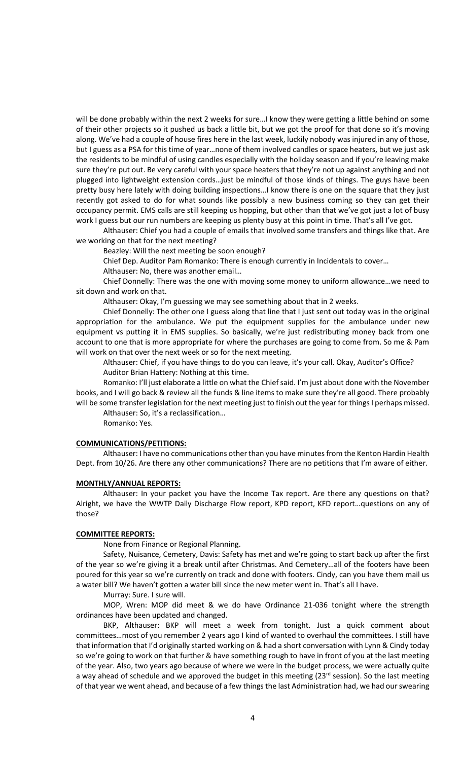will be done probably within the next 2 weeks for sure…I know they were getting a little behind on some of their other projects so it pushed us back a little bit, but we got the proof for that done so it's moving along. We've had a couple of house fires here in the last week, luckily nobody was injured in any of those, but I guess as a PSA for this time of year…none of them involved candles or space heaters, but we just ask the residents to be mindful of using candles especially with the holiday season and if you're leaving make sure they're put out. Be very careful with your space heaters that they're not up against anything and not plugged into lightweight extension cords…just be mindful of those kinds of things. The guys have been pretty busy here lately with doing building inspections…I know there is one on the square that they just recently got asked to do for what sounds like possibly a new business coming so they can get their occupancy permit. EMS calls are still keeping us hopping, but other than that we've got just a lot of busy work I guess but our run numbers are keeping us plenty busy at this point in time. That's all I've got.

Althauser: Chief you had a couple of emails that involved some transfers and things like that. Are we working on that for the next meeting?

Beazley: Will the next meeting be soon enough?

Chief Dep. Auditor Pam Romanko: There is enough currently in Incidentals to cover…

Althauser: No, there was another email…

Chief Donnelly: There was the one with moving some money to uniform allowance…we need to sit down and work on that.

Althauser: Okay, I'm guessing we may see something about that in 2 weeks.

Chief Donnelly: The other one I guess along that line that I just sent out today was in the original appropriation for the ambulance. We put the equipment supplies for the ambulance under new equipment vs putting it in EMS supplies. So basically, we're just redistributing money back from one account to one that is more appropriate for where the purchases are going to come from. So me & Pam will work on that over the next week or so for the next meeting.

Althauser: Chief, if you have things to do you can leave, it's your call. Okay, Auditor's Office? Auditor Brian Hattery: Nothing at this time.

Romanko: I'll just elaborate a little on what the Chief said. I'm just about done with the November books, and I will go back & review all the funds & line items to make sure they're all good. There probably will be some transfer legislation for the next meeting just to finish out the year for things I perhaps missed. Althauser: So, it's a reclassification…

Romanko: Yes.

## **COMMUNICATIONS/PETITIONS:**

Althauser: I have no communications other than you have minutes from the Kenton Hardin Health Dept. from 10/26. Are there any other communications? There are no petitions that I'm aware of either.

## **MONTHLY/ANNUAL REPORTS:**

Althauser: In your packet you have the Income Tax report. Are there any questions on that? Alright, we have the WWTP Daily Discharge Flow report, KPD report, KFD report…questions on any of those?

## **COMMITTEE REPORTS:**

None from Finance or Regional Planning.

Safety, Nuisance, Cemetery, Davis: Safety has met and we're going to start back up after the first of the year so we're giving it a break until after Christmas. And Cemetery…all of the footers have been poured for this year so we're currently on track and done with footers. Cindy, can you have them mail us a water bill? We haven't gotten a water bill since the new meter went in. That's all I have.

Murray: Sure. I sure will.

MOP, Wren: MOP did meet & we do have Ordinance 21-036 tonight where the strength ordinances have been updated and changed.

BKP, Althauser: BKP will meet a week from tonight. Just a quick comment about committees…most of you remember 2 years ago I kind of wanted to overhaul the committees. I still have that information that I'd originally started working on & had a short conversation with Lynn & Cindy today so we're going to work on that further & have something rough to have in front of you at the last meeting of the year. Also, two years ago because of where we were in the budget process, we were actually quite a way ahead of schedule and we approved the budget in this meeting  $(23<sup>rd</sup>$  session). So the last meeting of that year we went ahead, and because of a few things the last Administration had, we had our swearing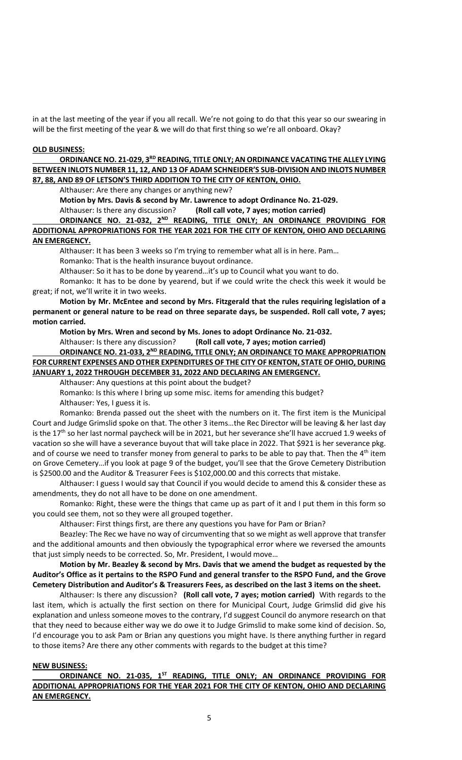in at the last meeting of the year if you all recall. We're not going to do that this year so our swearing in will be the first meeting of the year & we will do that first thing so we're all onboard. Okay?

## **OLD BUSINESS:**

# ORDINANCE NO. 21-029, 3<sup>RD</sup> READING, TITLE ONLY; AN ORDINANCE VACATING THE ALLEY LYING **BETWEEN INLOTS NUMBER 11, 12, AND 13 OF ADAM SCHNEIDER'S SUB-DIVISION AND INLOTS NUMBER 87, 88, AND 89 OF LETSON'S THIRD ADDITION TO THE CITY OF KENTON, OHIO.**

Althauser: Are there any changes or anything new?

**Motion by Mrs. Davis & second by Mr. Lawrence to adopt Ordinance No. 21-029.** Althauser: Is there any discussion? **(Roll call vote, 7 ayes; motion carried)**

## **ORDINANCE NO. 21-032, 2ND READING, TITLE ONLY; AN ORDINANCE PROVIDING FOR ADDITIONAL APPROPRIATIONS FOR THE YEAR 2021 FOR THE CITY OF KENTON, OHIO AND DECLARING AN EMERGENCY.**

Althauser: It has been 3 weeks so I'm trying to remember what all is in here. Pam…

Romanko: That is the health insurance buyout ordinance.

Althauser: So it has to be done by yearend…it's up to Council what you want to do.

Romanko: It has to be done by yearend, but if we could write the check this week it would be great; if not, we'll write it in two weeks.

**Motion by Mr. McEntee and second by Mrs. Fitzgerald that the rules requiring legislation of a permanent or general nature to be read on three separate days, be suspended. Roll call vote, 7 ayes; motion carried.**

**Motion by Mrs. Wren and second by Ms. Jones to adopt Ordinance No. 21-032.** 

Althauser: Is there any discussion? **(Roll call vote, 7 ayes; motion carried)**

# ORDINANCE NO. 21-033, 2<sup>ND</sup> READING, TITLE ONLY; AN ORDINANCE TO MAKE APPROPRIATION **FOR CURRENT EXPENSES AND OTHER EXPENDITURES OF THE CITY OF KENTON, STATE OF OHIO, DURING JANUARY 1, 2022 THROUGH DECEMBER 31, 2022 AND DECLARING AN EMERGENCY.**

Althauser: Any questions at this point about the budget?

Romanko: Is this where I bring up some misc. items for amending this budget? Althauser: Yes, I guess it is.

Romanko: Brenda passed out the sheet with the numbers on it. The first item is the Municipal Court and Judge Grimslid spoke on that. The other 3 items…the Rec Director will be leaving & her last day is the 17<sup>th</sup> so her last normal paycheck will be in 2021, but her severance she'll have accrued 1.9 weeks of vacation so she will have a severance buyout that will take place in 2022. That \$921 is her severance pkg. and of course we need to transfer money from general to parks to be able to pay that. Then the  $4<sup>th</sup>$  item on Grove Cemetery…if you look at page 9 of the budget, you'll see that the Grove Cemetery Distribution is \$2500.00 and the Auditor & Treasurer Fees is \$102,000.00 and this corrects that mistake.

Althauser: I guess I would say that Council if you would decide to amend this & consider these as amendments, they do not all have to be done on one amendment.

Romanko: Right, these were the things that came up as part of it and I put them in this form so you could see them, not so they were all grouped together.

Althauser: First things first, are there any questions you have for Pam or Brian?

Beazley: The Rec we have no way of circumventing that so we might as well approve that transfer and the additional amounts and then obviously the typographical error where we reversed the amounts that just simply needs to be corrected. So, Mr. President, I would move…

**Motion by Mr. Beazley & second by Mrs. Davis that we amend the budget as requested by the Auditor's Office as it pertains to the RSPO Fund and general transfer to the RSPO Fund, and the Grove Cemetery Distribution and Auditor's & Treasurers Fees, as described on the last 3 items on the sheet.**

Althauser: Is there any discussion? **(Roll call vote, 7 ayes; motion carried)** With regards to the last item, which is actually the first section on there for Municipal Court, Judge Grimslid did give his explanation and unless someone moves to the contrary, I'd suggest Council do anymore research on that that they need to because either way we do owe it to Judge Grimslid to make some kind of decision. So, I'd encourage you to ask Pam or Brian any questions you might have. Is there anything further in regard to those items? Are there any other comments with regards to the budget at this time?

# **NEW BUSINESS:**

**ORDINANCE NO. 21-035, 1ST READING, TITLE ONLY; AN ORDINANCE PROVIDING FOR ADDITIONAL APPROPRIATIONS FOR THE YEAR 2021 FOR THE CITY OF KENTON, OHIO AND DECLARING AN EMERGENCY.**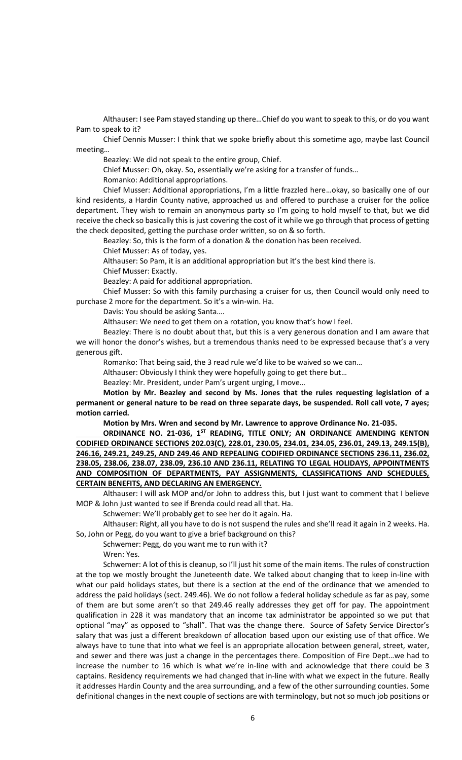Althauser: I see Pam stayed standing up there…Chief do you want to speak to this, or do you want Pam to speak to it?

Chief Dennis Musser: I think that we spoke briefly about this sometime ago, maybe last Council meeting…

Beazley: We did not speak to the entire group, Chief.

Chief Musser: Oh, okay. So, essentially we're asking for a transfer of funds…

Romanko: Additional appropriations.

Chief Musser: Additional appropriations, I'm a little frazzled here…okay, so basically one of our kind residents, a Hardin County native, approached us and offered to purchase a cruiser for the police department. They wish to remain an anonymous party so I'm going to hold myself to that, but we did receive the check so basically this is just covering the cost of it while we go through that process of getting the check deposited, getting the purchase order written, so on & so forth.

Beazley: So, this is the form of a donation & the donation has been received.

Chief Musser: As of today, yes.

Althauser: So Pam, it is an additional appropriation but it's the best kind there is.

Chief Musser: Exactly.

Beazley: A paid for additional appropriation.

Chief Musser: So with this family purchasing a cruiser for us, then Council would only need to purchase 2 more for the department. So it's a win-win. Ha.

Davis: You should be asking Santa….

Althauser: We need to get them on a rotation, you know that's how I feel.

Beazley: There is no doubt about that, but this is a very generous donation and I am aware that we will honor the donor's wishes, but a tremendous thanks need to be expressed because that's a very generous gift.

Romanko: That being said, the 3 read rule we'd like to be waived so we can…

Althauser: Obviously I think they were hopefully going to get there but…

Beazley: Mr. President, under Pam's urgent urging, I move…

**Motion by Mr. Beazley and second by Ms. Jones that the rules requesting legislation of a permanent or general nature to be read on three separate days, be suspended. Roll call vote, 7 ayes; motion carried.**

**Motion by Mrs. Wren and second by Mr. Lawrence to approve Ordinance No. 21-035.**

**ORDINANCE NO. 21-036, 1ST READING, TITLE ONLY; AN ORDINANCE AMENDING KENTON CODIFIED ORDINANCE SECTIONS 202.03(C), 228.01, 230.05, 234.01, 234.05, 236.01, 249.13, 249.15(B), 246.16, 249.21, 249.25, AND 249.46 AND REPEALING CODIFIED ORDINANCE SECTIONS 236.11, 236.02, 238.05, 238.06, 238.07, 238.09, 236.10 AND 236.11, RELATING TO LEGAL HOLIDAYS, APPOINTMENTS AND COMPOSITION OF DEPARTMENTS, PAY ASSIGNMENTS, CLASSIFICATIONS AND SCHEDULES, CERTAIN BENEFITS, AND DECLARING AN EMERGENCY.**

Althauser: I will ask MOP and/or John to address this, but I just want to comment that I believe MOP & John just wanted to see if Brenda could read all that. Ha.

Schwemer: We'll probably get to see her do it again. Ha.

Althauser: Right, all you have to do is not suspend the rules and she'll read it again in 2 weeks. Ha. So, John or Pegg, do you want to give a brief background on this?

Schwemer: Pegg, do you want me to run with it?

Wren: Yes.

Schwemer: A lot of this is cleanup, so I'll just hit some of the main items. The rules of construction at the top we mostly brought the Juneteenth date. We talked about changing that to keep in-line with what our paid holidays states, but there is a section at the end of the ordinance that we amended to address the paid holidays (sect. 249.46). We do not follow a federal holiday schedule as far as pay, some of them are but some aren't so that 249.46 really addresses they get off for pay. The appointment qualification in 228 it was mandatory that an income tax administrator be appointed so we put that optional "may" as opposed to "shall". That was the change there. Source of Safety Service Director's salary that was just a different breakdown of allocation based upon our existing use of that office. We always have to tune that into what we feel is an appropriate allocation between general, street, water, and sewer and there was just a change in the percentages there. Composition of Fire Dept…we had to increase the number to 16 which is what we're in-line with and acknowledge that there could be 3 captains. Residency requirements we had changed that in-line with what we expect in the future. Really it addresses Hardin County and the area surrounding, and a few of the other surrounding counties. Some definitional changes in the next couple of sections are with terminology, but not so much job positions or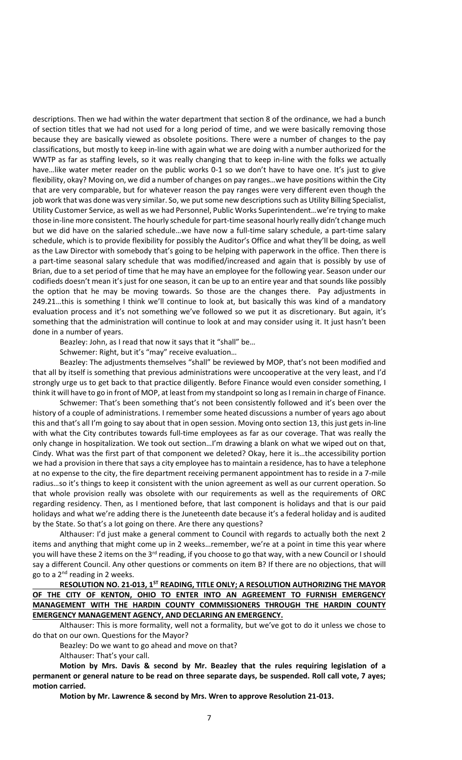descriptions. Then we had within the water department that section 8 of the ordinance, we had a bunch of section titles that we had not used for a long period of time, and we were basically removing those because they are basically viewed as obsolete positions. There were a number of changes to the pay classifications, but mostly to keep in-line with again what we are doing with a number authorized for the WWTP as far as staffing levels, so it was really changing that to keep in-line with the folks we actually have...like water meter reader on the public works 0-1 so we don't have to have one. It's just to give flexibility, okay? Moving on, we did a number of changes on pay ranges…we have positions within the City that are very comparable, but for whatever reason the pay ranges were very different even though the job work that was done was very similar. So, we put some new descriptions such as Utility Billing Specialist, Utility Customer Service, as well as we had Personnel, Public Works Superintendent…we're trying to make those in-line more consistent. The hourly schedule for part-time seasonal hourly really didn't change much but we did have on the salaried schedule…we have now a full-time salary schedule, a part-time salary schedule, which is to provide flexibility for possibly the Auditor's Office and what they'll be doing, as well as the Law Director with somebody that's going to be helping with paperwork in the office. Then there is a part-time seasonal salary schedule that was modified/increased and again that is possibly by use of Brian, due to a set period of time that he may have an employee for the following year. Season under our codifieds doesn't mean it's just for one season, it can be up to an entire year and that sounds like possibly the option that he may be moving towards. So those are the changes there. Pay adjustments in 249.21…this is something I think we'll continue to look at, but basically this was kind of a mandatory evaluation process and it's not something we've followed so we put it as discretionary. But again, it's something that the administration will continue to look at and may consider using it. It just hasn't been done in a number of years.

Beazley: John, as I read that now it says that it "shall" be…

Schwemer: Right, but it's "may" receive evaluation…

Beazley: The adjustments themselves "shall" be reviewed by MOP, that's not been modified and that all by itself is something that previous administrations were uncooperative at the very least, and I'd strongly urge us to get back to that practice diligently. Before Finance would even consider something, I think it will have to go in front of MOP, at least from my standpoint so long as I remain in charge of Finance.

Schwemer: That's been something that's not been consistently followed and it's been over the history of a couple of administrations. I remember some heated discussions a number of years ago about this and that's all I'm going to say about that in open session. Moving onto section 13, this just gets in-line with what the City contributes towards full-time employees as far as our coverage. That was really the only change in hospitalization. We took out section…I'm drawing a blank on what we wiped out on that, Cindy. What was the first part of that component we deleted? Okay, here it is…the accessibility portion we had a provision in there that says a city employee has to maintain a residence, has to have a telephone at no expense to the city, the fire department receiving permanent appointment has to reside in a 7-mile radius…so it's things to keep it consistent with the union agreement as well as our current operation. So that whole provision really was obsolete with our requirements as well as the requirements of ORC regarding residency. Then, as I mentioned before, that last component is holidays and that is our paid holidays and what we're adding there is the Juneteenth date because it's a federal holiday and is audited by the State. So that's a lot going on there. Are there any questions?

Althauser: I'd just make a general comment to Council with regards to actually both the next 2 items and anything that might come up in 2 weeks…remember, we're at a point in time this year where you will have these 2 items on the 3<sup>rd</sup> reading, if you choose to go that way, with a new Council or I should say a different Council. Any other questions or comments on item B? If there are no objections, that will go to a  $2^{nd}$  reading in 2 weeks.

**RESOLUTION NO. 21-013, 1ST READING, TITLE ONLY; A RESOLUTION AUTHORIZING THE MAYOR OF THE CITY OF KENTON, OHIO TO ENTER INTO AN AGREEMENT TO FURNISH EMERGENCY MANAGEMENT WITH THE HARDIN COUNTY COMMISSIONERS THROUGH THE HARDIN COUNTY EMERGENCY MANAGEMENT AGENCY, AND DECLARING AN EMERGENCY.**

Althauser: This is more formality, well not a formality, but we've got to do it unless we chose to do that on our own. Questions for the Mayor?

Beazley: Do we want to go ahead and move on that?

Althauser: That's your call.

**Motion by Mrs. Davis & second by Mr. Beazley that the rules requiring legislation of a permanent or general nature to be read on three separate days, be suspended. Roll call vote, 7 ayes; motion carried.**

**Motion by Mr. Lawrence & second by Mrs. Wren to approve Resolution 21-013.**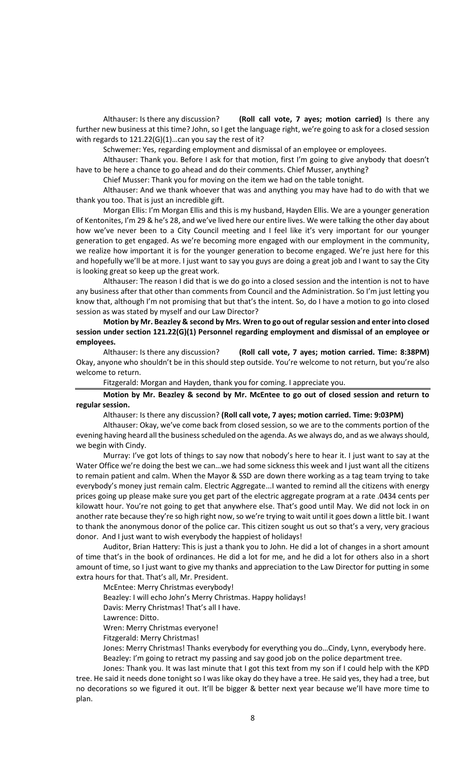Althauser: Is there any discussion? **(Roll call vote, 7 ayes; motion carried)** Is there any further new business at this time? John, so I get the language right, we're going to ask for a closed session with regards to 121.22(G)(1)…can you say the rest of it?

Schwemer: Yes, regarding employment and dismissal of an employee or employees.

Althauser: Thank you. Before I ask for that motion, first I'm going to give anybody that doesn't have to be here a chance to go ahead and do their comments. Chief Musser, anything?

Chief Musser: Thank you for moving on the item we had on the table tonight.

Althauser: And we thank whoever that was and anything you may have had to do with that we thank you too. That is just an incredible gift.

Morgan Ellis: I'm Morgan Ellis and this is my husband, Hayden Ellis. We are a younger generation of Kentonites, I'm 29 & he's 28, and we've lived here our entire lives. We were talking the other day about how we've never been to a City Council meeting and I feel like it's very important for our younger generation to get engaged. As we're becoming more engaged with our employment in the community, we realize how important it is for the younger generation to become engaged. We're just here for this and hopefully we'll be at more. I just want to say you guys are doing a great job and I want to say the City is looking great so keep up the great work.

Althauser: The reason I did that is we do go into a closed session and the intention is not to have any business after that other than comments from Council and the Administration. So I'm just letting you know that, although I'm not promising that but that's the intent. So, do I have a motion to go into closed session as was stated by myself and our Law Director?

**Motion by Mr. Beazley & second by Mrs. Wren to go out of regular session and enter into closed session under section 121.22(G)(1) Personnel regarding employment and dismissal of an employee or employees.**

Althauser: Is there any discussion? **(Roll call vote, 7 ayes; motion carried. Time: 8:38PM)** Okay, anyone who shouldn't be in this should step outside. You're welcome to not return, but you're also welcome to return.

Fitzgerald: Morgan and Hayden, thank you for coming. I appreciate you.

**Motion by Mr. Beazley & second by Mr. McEntee to go out of closed session and return to regular session.** 

Althauser: Is there any discussion? **(Roll call vote, 7 ayes; motion carried. Time: 9:03PM)** 

Althauser: Okay, we've come back from closed session, so we are to the comments portion of the evening having heard all the business scheduled on the agenda. As we always do, and as we always should, we begin with Cindy.

Murray: I've got lots of things to say now that nobody's here to hear it. I just want to say at the Water Office we're doing the best we can…we had some sickness this week and I just want all the citizens to remain patient and calm. When the Mayor & SSD are down there working as a tag team trying to take everybody's money just remain calm. Electric Aggregate...I wanted to remind all the citizens with energy prices going up please make sure you get part of the electric aggregate program at a rate .0434 cents per kilowatt hour. You're not going to get that anywhere else. That's good until May. We did not lock in on another rate because they're so high right now, so we're trying to wait until it goes down a little bit. I want to thank the anonymous donor of the police car. This citizen sought us out so that's a very, very gracious donor. And I just want to wish everybody the happiest of holidays!

Auditor, Brian Hattery: This is just a thank you to John. He did a lot of changes in a short amount of time that's in the book of ordinances. He did a lot for me, and he did a lot for others also in a short amount of time, so I just want to give my thanks and appreciation to the Law Director for putting in some extra hours for that. That's all, Mr. President.

McEntee: Merry Christmas everybody!

Beazley: I will echo John's Merry Christmas. Happy holidays!

Davis: Merry Christmas! That's all I have.

Lawrence: Ditto.

Wren: Merry Christmas everyone!

Fitzgerald: Merry Christmas!

Jones: Merry Christmas! Thanks everybody for everything you do…Cindy, Lynn, everybody here. Beazley: I'm going to retract my passing and say good job on the police department tree.

Jones: Thank you. It was last minute that I got this text from my son if I could help with the KPD tree. He said it needs done tonight so I was like okay do they have a tree. He said yes, they had a tree, but no decorations so we figured it out. It'll be bigger & better next year because we'll have more time to plan.